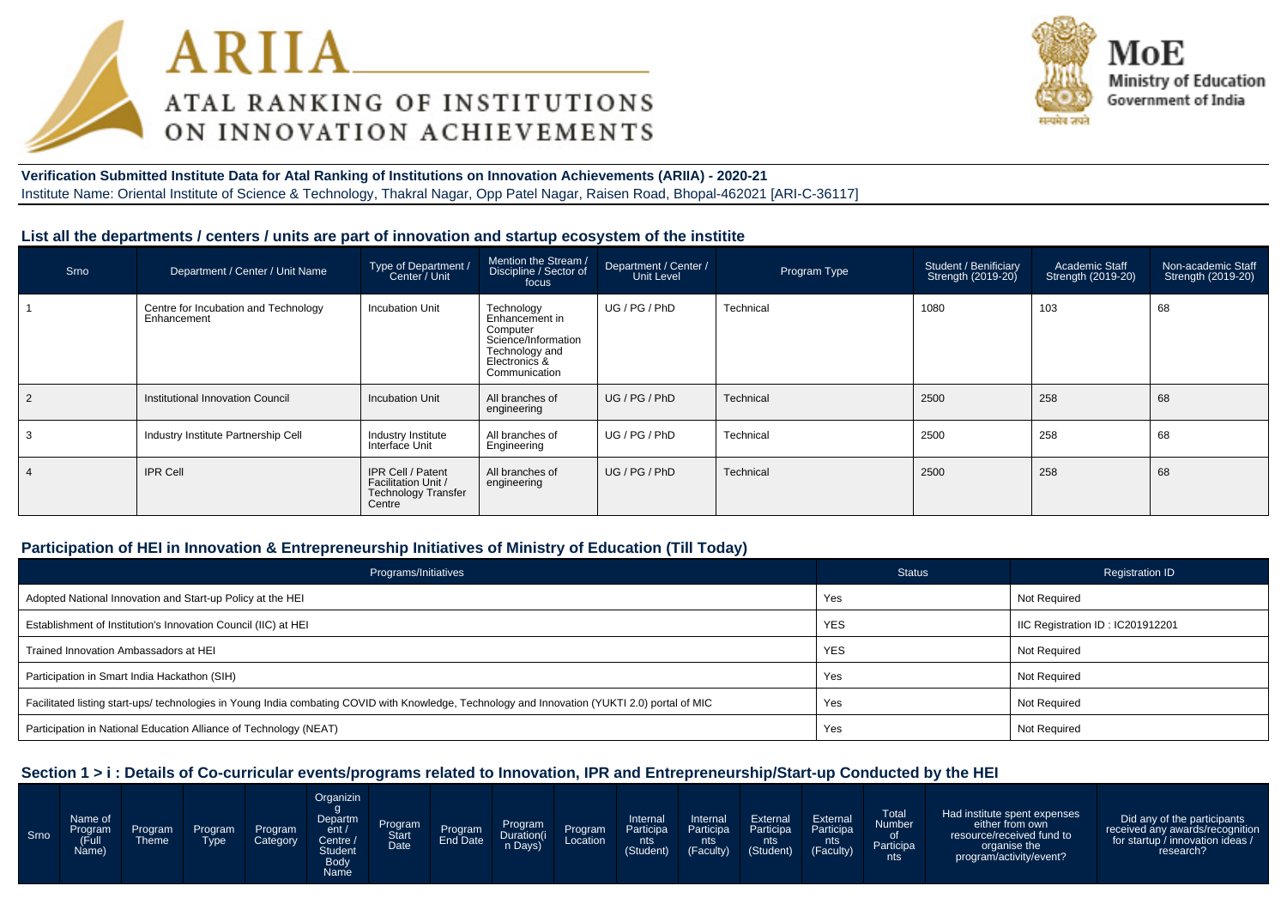



# **Verification Submitted Institute Data for Atal Ranking of Institutions on Innovation Achievements (ARIIA) - 2020-21**Institute Name: Oriental Institute of Science & Technology, Thakral Nagar, Opp Patel Nagar, Raisen Road, Bhopal-462021 [ARI-C-36117]

# **List all the departments / centers / units are part of innovation and startup ecosystem of the institite**

| Srno | Department / Center / Unit Name                     | Type of Department /<br>Center / Unit                                                   | Mention the Stream /<br>Discipline / Sector of<br>focus                                                             | Department / Center /<br>Unit Level | Program Type | <b>Student / Benificiary</b><br>Strength (2019-20) | Academic Staff<br>Strength (2019-20) | Non-academic Staff<br>Strength (2019-20) |
|------|-----------------------------------------------------|-----------------------------------------------------------------------------------------|---------------------------------------------------------------------------------------------------------------------|-------------------------------------|--------------|----------------------------------------------------|--------------------------------------|------------------------------------------|
|      | Centre for Incubation and Technology<br>Enhancement | Incubation Unit                                                                         | Technology<br>Enhancement in<br>Computer<br>Science/Information<br>Technology and<br>Electronics &<br>Communication | UG / PG / PhD                       | Technical    | 1080                                               | 103                                  | 68                                       |
|      | Institutional Innovation Council                    | Incubation Unit                                                                         | All branches of<br>engineering                                                                                      | UG/PG/PhD                           | Technical    | 2500                                               | 258                                  | 68                                       |
| 3    | Industry Institute Partnership Cell                 | Industry Institute<br>Interface Unit                                                    | All branches of<br>Engineering                                                                                      | UG / PG / PhD                       | Technical    | 2500                                               | 258                                  | 68                                       |
| 4    | <b>IPR Cell</b>                                     | <b>IPR Cell / Patent</b><br>Facilitation Unit /<br><b>Technology Transfer</b><br>Centre | All branches of<br>engineering                                                                                      | UG/PG/PhD                           | Technical    | 2500                                               | 258                                  | 68                                       |

# **Participation of HEI in Innovation & Entrepreneurship Initiatives of Ministry of Education (Till Today)**

| Programs/Initiatives                                                                                                                           | <b>Status</b> | <b>Registration ID</b>           |
|------------------------------------------------------------------------------------------------------------------------------------------------|---------------|----------------------------------|
| Adopted National Innovation and Start-up Policy at the HEI                                                                                     | Yes           | Not Required                     |
| Establishment of Institution's Innovation Council (IIC) at HEI                                                                                 | <b>YES</b>    | IIC Registration ID: IC201912201 |
| Trained Innovation Ambassadors at HEI                                                                                                          | <b>YES</b>    | <b>Not Required</b>              |
| Participation in Smart India Hackathon (SIH)                                                                                                   | Yes           | Not Required                     |
| Facilitated listing start-ups/ technologies in Young India combating COVID with Knowledge, Technology and Innovation (YUKTI 2.0) portal of MIC | Yes           | Not Required                     |
| Participation in National Education Alliance of Technology (NEAT)                                                                              | Yes           | Not Required                     |

# **Section 1 > i : Details of Co-curricular events/programs related to Innovation, IPR and Entrepreneurship/Start-up Conducted by the HEI**

| Srno | Name of<br>Program<br>(Ful<br>Name) | Program<br><b>Theme</b> | Program<br><b>Type</b> | Program<br>Category | Organizin<br>Departm<br>ent/<br>Centre A<br><b>Student</b><br><b>Body</b><br>Name | Program<br>Date | Program<br>End Date | Program<br>Duration(i<br>n Days) | Program<br>Location | Internal<br><b>Participa</b><br>nts<br>(Student) | Internal<br>Participa<br>nts<br>(Faculty) | External<br>Participa<br>nts<br>(Student) | <b>External</b><br>Participa<br>nts<br>(Faculty) | Total<br><b>Number</b><br>0f<br>Participa<br>nts | Had institute spent expenses<br>either from own<br>resource/received fund to<br>organise the<br>program/activity/event? | Did any of the participants<br>received any awards/recognition<br>for startup / innovation ideas /<br>research? |
|------|-------------------------------------|-------------------------|------------------------|---------------------|-----------------------------------------------------------------------------------|-----------------|---------------------|----------------------------------|---------------------|--------------------------------------------------|-------------------------------------------|-------------------------------------------|--------------------------------------------------|--------------------------------------------------|-------------------------------------------------------------------------------------------------------------------------|-----------------------------------------------------------------------------------------------------------------|
|------|-------------------------------------|-------------------------|------------------------|---------------------|-----------------------------------------------------------------------------------|-----------------|---------------------|----------------------------------|---------------------|--------------------------------------------------|-------------------------------------------|-------------------------------------------|--------------------------------------------------|--------------------------------------------------|-------------------------------------------------------------------------------------------------------------------------|-----------------------------------------------------------------------------------------------------------------|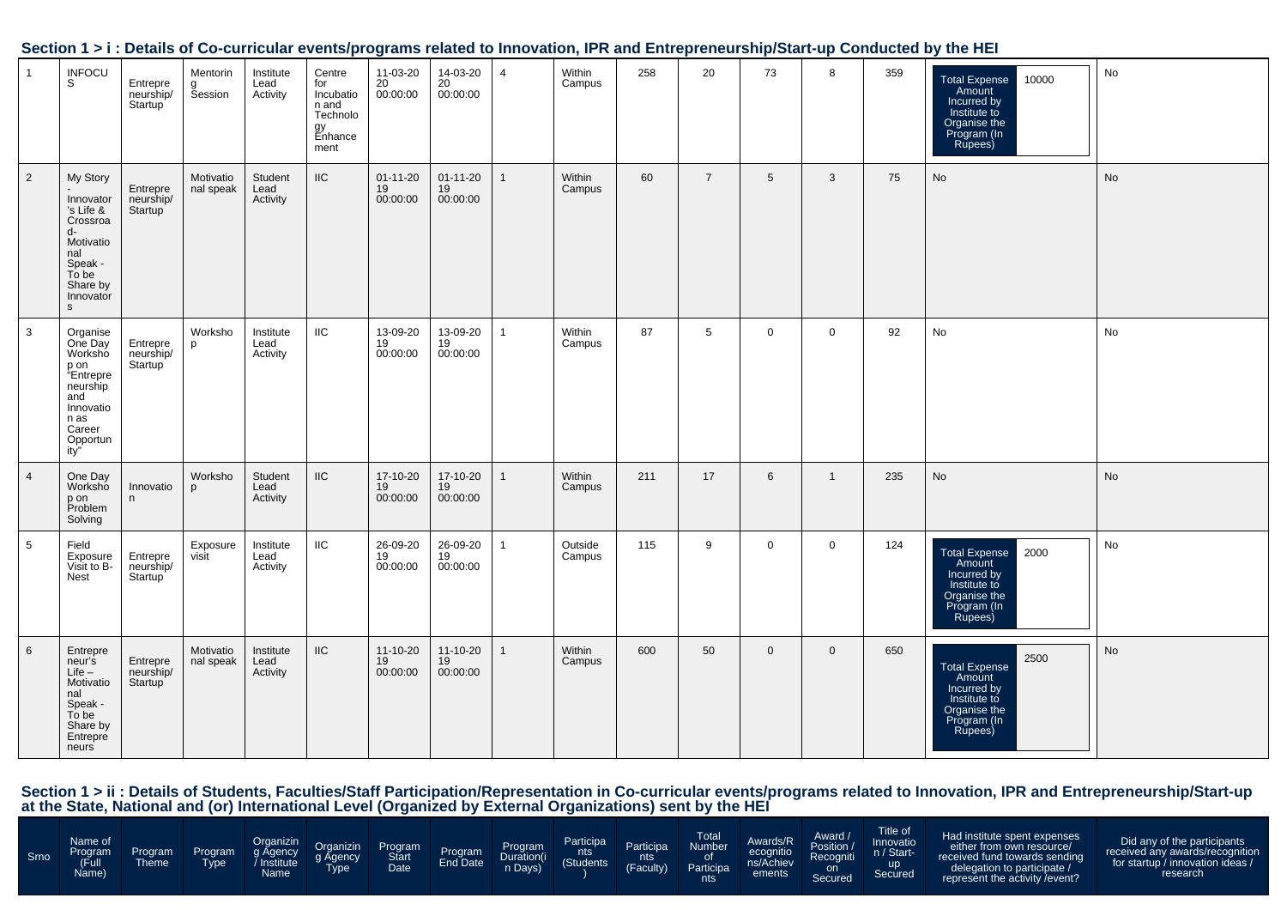|                 |                                                                                                                                       |                                               |                          |                               |                                                                          |                                  |                                  |                |                   |     |                |                |                |     | <u>Jection 191. Details of Co-curricular eventsipi ograms related to impovation, in Kand Entrepreneurship/Jearl-dip Conducted by the HET</u> |           |
|-----------------|---------------------------------------------------------------------------------------------------------------------------------------|-----------------------------------------------|--------------------------|-------------------------------|--------------------------------------------------------------------------|----------------------------------|----------------------------------|----------------|-------------------|-----|----------------|----------------|----------------|-----|----------------------------------------------------------------------------------------------------------------------------------------------|-----------|
| $\mathbf{1}$    | <b>INFOCU</b><br>S                                                                                                                    | Entrepre<br>neurship/<br>Startup              | Mentorin<br>g<br>Session | Institute<br>Lead<br>Activity | Centre<br>for<br>Incubatio<br>n and<br>Technolo<br>gy<br>Enhance<br>ment | 11-03-20<br>20<br>00:00:00       | 14-03-20<br>20<br>00:00:00       | $\overline{4}$ | Within<br>Campus  | 258 | 20             | 73             | 8              | 359 | Total Expense<br>Amount<br>10000<br>Incurred by<br>Institute to<br>Organise the<br>Program (In<br>Rupees)                                    | No        |
| $\overline{2}$  | My Story<br>Innovator<br>'s Life &<br>Crossroa<br>d-<br>Motivatio<br>nal<br>Speak -<br>To be<br>Share by<br>Innovator<br>$\mathbf{s}$ | Entrepre<br>neurship/<br>Startup              | Motivatio<br>nal speak   | Student<br>Lead<br>Activity   | $\sf IIC$                                                                | $01 - 11 - 20$<br>19<br>00:00:00 | $01 - 11 - 20$<br>19<br>00:00:00 | $\mathbf{1}$   | Within<br>Campus  | 60  | $\overline{7}$ | 5 <sup>5</sup> | $\mathbf{3}$   | 75  | No                                                                                                                                           | <b>No</b> |
| $\mathbf{3}$    | Organise<br>One Day<br>Worksho<br>p on<br>"Entrepre<br>neurship<br>and<br>Innovatio<br>n as<br>Career<br>Opportun<br>ity"             | Entrepre<br>neurship/<br>Startup              | Worksho<br>p             | Institute<br>Lead<br>Activity | $\mathsf{IIC}$                                                           | 13-09-20<br>19<br>00:00:00       | 13-09-20<br>19<br>00:00:00       | $\mathbf{1}$   | Within<br>Campus  | 87  | 5              | $\mathsf{O}$   | $\mathbf 0$    | 92  | No                                                                                                                                           | No        |
| $\overline{4}$  | One Day<br>Worksho<br>p on<br>Problem<br>Solving                                                                                      | Innovatio<br>n                                | Worksho<br>p             | Student<br>Lead<br>Activity   | $\rm IIC$                                                                | 17-10-20<br>19<br>00:00:00       | 17-10-20<br>19<br>00:00:00       | $\mathbf{1}$   | Within<br>Campus  | 211 | 17             | 6              | $\overline{1}$ | 235 | No                                                                                                                                           | No        |
| 5               | Field<br>Exposure<br>Visit to B-<br>Nest                                                                                              | Entrepre<br>neurship/<br>Startup <sup>'</sup> | Exposure<br>visit        | Institute<br>Lead<br>Activity | $\mathsf{IIC}$                                                           | 26-09-20<br>19<br>00:00:00       | 26-09-20<br>19<br>00:00:00       | $\mathbf{1}$   | Outside<br>Campus | 115 | 9              | $\mathbf 0$    | $\mathbf 0$    | 124 | 2000<br>Total Expense<br>Amount<br>Incurred by<br>Institute to<br>Organise the<br>Program (In<br>Rupees)                                     | No        |
| $6\overline{6}$ | Entrepre<br>neur's<br>Life –<br>Motivatio<br>nal<br>Speak -<br>To be<br>Share by<br>Entrepre<br>neurs                                 | Entrepre<br>neurship/<br>Startup              | Motivatio<br>nal speak   | Institute<br>Lead<br>Activity | $\sf IIC$                                                                | 11-10-20<br>19<br>00:00:00       | 11-10-20<br>19<br>00:00:00       | $\mathbf{1}$   | Within<br>Campus  | 600 | 50             | $\mathbf 0$    | $\mathbf 0$    | 650 | 2500<br>Total Expense<br>Amount<br>Incurred by<br>Institute to<br>Organise the<br>Program (In<br>Rupees)                                     | <b>No</b> |

#### **Section 1 > i : Details of Co-curricular events/programs related to Innovation, IPR and Entrepreneurship/Start-up Conducted by the HEI**

Section 1 > ii : Details of Students, Faculties/Staff Participation/Representation in Co-curricular events/programs related to Innovation, IPR and Entrepreneurship/Start-up<br>at the State, National and (or) International Lev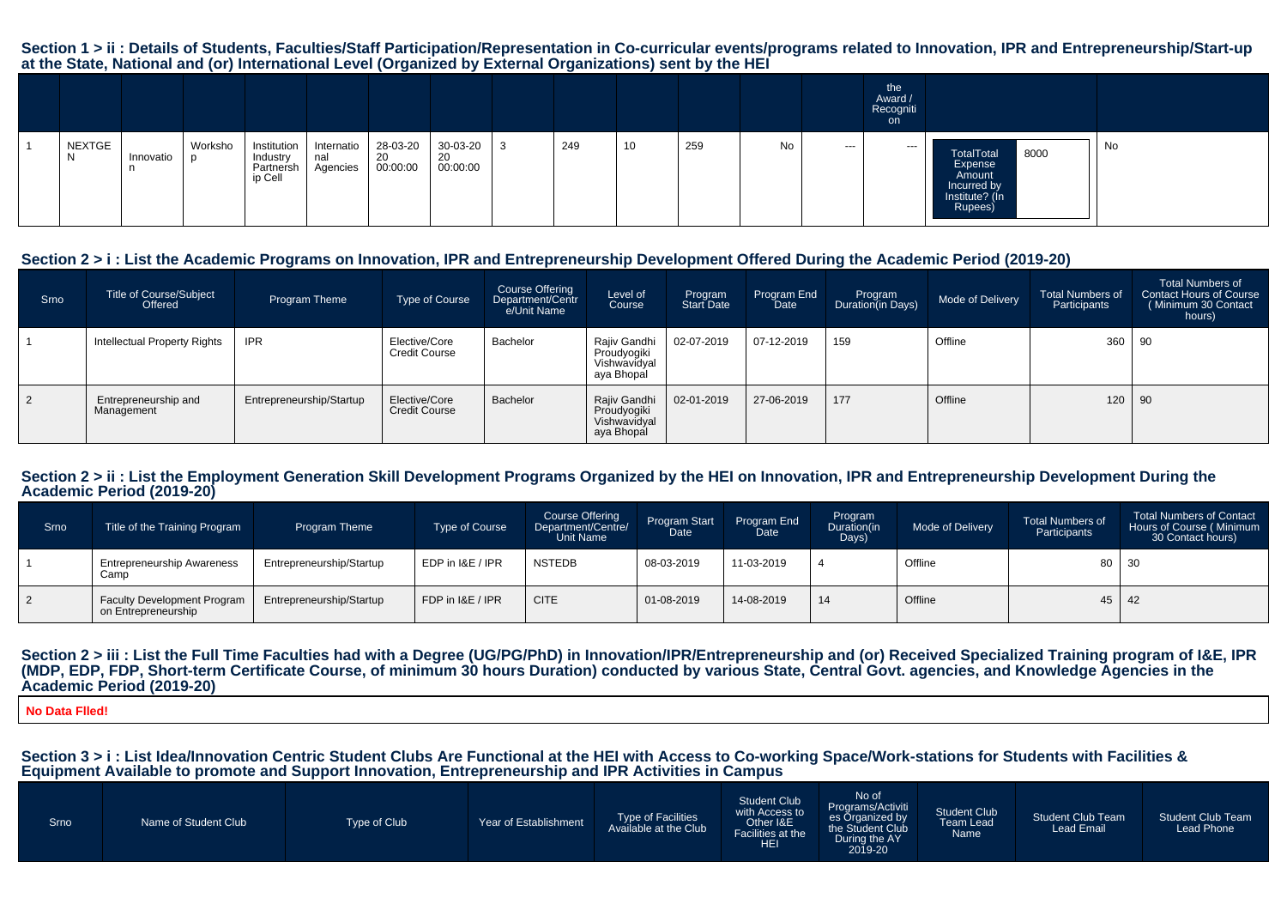#### **Section 1 > ii : Details of Students, Faculties/Staff Participation/Representation in Co-curricular events/programs related to Innovation, IPR and Entrepreneurship/Start-upat the State, National and (or) International Level (Organized by External Organizations) sent by the HEI**

|              |                |                 |                                                   |                               |                            |                            |     |    |     |    |               | the<br>Award /<br>Recogniti<br>on |                                                                                     |    |
|--------------|----------------|-----------------|---------------------------------------------------|-------------------------------|----------------------------|----------------------------|-----|----|-----|----|---------------|-----------------------------------|-------------------------------------------------------------------------------------|----|
| NEXTGE<br>N. | Innovatio<br>n | Worksho<br>- ID | Institution  <br>Industry<br>Partnersh<br>ip Cell | Internatio<br>nal<br>Agencies | 28-03-20<br>20<br>00:00:00 | 30-03-20<br>20<br>00:00:00 | 249 | 10 | 259 | No | $\sim$ $\sim$ | ---                               | 8000<br>TotalTotal<br>Expense<br>Amount<br>Incurred by<br>Institute? (In<br>Rupees) | No |

# **Section 2 > i : List the Academic Programs on Innovation, IPR and Entrepreneurship Development Offered During the Academic Period (2019-20)**

| Srno      | <b>Title of Course/Subject</b><br>Offered | Program Theme            | Type of Course                        | <b>Course Offering</b><br>Department/Centr<br>e/Unit Name | Level of<br>Course                                        | Program<br>Start Date | Program End<br><b>Date</b> | Program<br>Duration(in Days) | Mode of Delivery | <b>Total Numbers of</b><br>Participants | <b>Total Numbers of</b><br>Contact Hours of Course<br>Minimum 30 Contact<br>hours) |
|-----------|-------------------------------------------|--------------------------|---------------------------------------|-----------------------------------------------------------|-----------------------------------------------------------|-----------------------|----------------------------|------------------------------|------------------|-----------------------------------------|------------------------------------------------------------------------------------|
|           | Intellectual Property Rights              | <b>IPR</b>               | Elective/Core<br><b>Credit Course</b> | Bachelor                                                  | Rajiv Gandhi<br>Proudyogiki<br>Vishwavidyal<br>aya Bhopal | 02-07-2019            | 07-12-2019                 | 159                          | Offline          | 360                                     | 90                                                                                 |
| $\vert$ 2 | Entrepreneurship and<br>Management        | Entrepreneurship/Startup | Elective/Core<br><b>Credit Course</b> | Bachelor                                                  | Rajiv Gandhi<br>Proudyogiki<br>Vishwavidyal<br>aya Bhopal | 02-01-2019            | 27-06-2019                 | 177                          | Offline          | 120                                     | 90                                                                                 |

#### Section 2 > ii : List the Employment Generation Skill Development Programs Organized by the HEI on Innovation, IPR and Entrepreneurship Development During the **Academic Period (2019-20)**

| Srno | Title of the Training Program                             | <b>Program Theme</b>     | <b>Type of Course</b> | <b>Course Offering</b><br>Department/Centre/<br>Unit Name | Program Start<br>Date | Program End<br>Date <sup>1</sup> | Program<br>Duration(in<br>Days) | Mode of Delivery | <b>Total Numbers of</b><br>Participants | <b>Total Numbers of Contact</b><br>Hours of Course (Minimum<br>30 Contact hours) |
|------|-----------------------------------------------------------|--------------------------|-----------------------|-----------------------------------------------------------|-----------------------|----------------------------------|---------------------------------|------------------|-----------------------------------------|----------------------------------------------------------------------------------|
|      | <b>Entrepreneurship Awareness</b><br>Camp                 | Entrepreneurship/Startup | EDP in I&E / IPR      | <b>NSTEDB</b>                                             | 08-03-2019            | 11-03-2019                       |                                 | Offline          |                                         | 80   30                                                                          |
|      | <b>Faculty Development Program</b><br>on Entrepreneurship | Entrepreneurship/Startup | FDP in I&E / IPR      | <b>CITE</b>                                               | 01-08-2019            | 14-08-2019                       | 14                              | Offline          |                                         | $45 \mid 42$                                                                     |

#### Section 2 > iii : List the Full Time Faculties had with a Degree (UG/PG/PhD) in Innovation/IPR/Entrepreneurship and (or) Received Specialized Training program of I&E, IPR **(MDP, EDP, FDP, Short-term Certificate Course, of minimum 30 hours Duration) conducted by various State, Central Govt. agencies, and Knowledge Agencies in theAcademic Period (2019-20)**

#### **No Data Flled!**

**Section 3 > i : List Idea/Innovation Centric Student Clubs Are Functional at the HEI with Access to Co-working Space/Work-stations for Students with Facilities &Equipment Available to promote and Support Innovation, Entrepreneurship and IPR Activities in Campus**

| During the AY<br><b>HEI</b><br>2019-20 |
|----------------------------------------|
|----------------------------------------|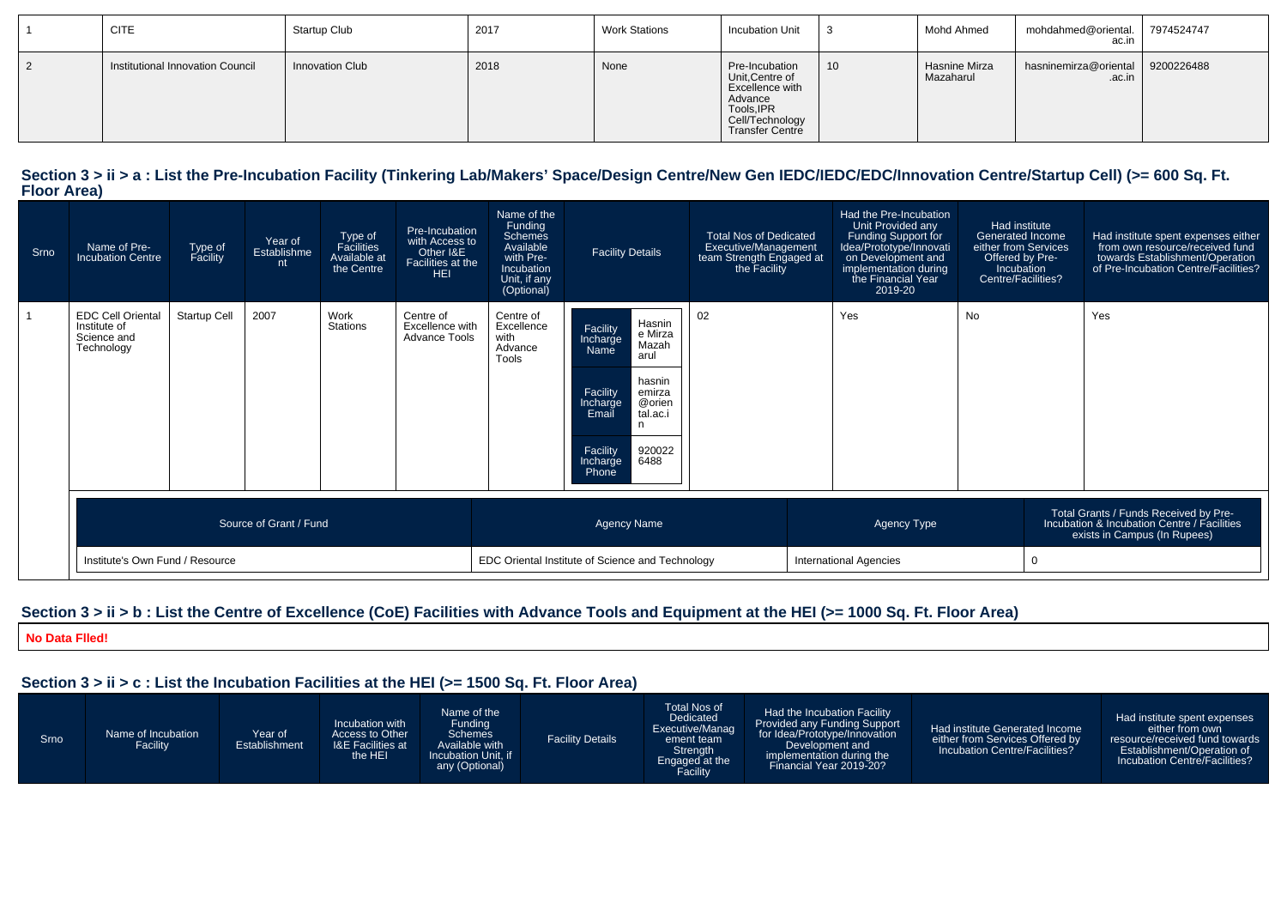| <b>CITE</b>                      | Startup Club           | 2017 | <b>Work Stations</b> | <b>Incubation Unit</b>                                                                                              |    | Mohd Ahmed                 | mohdahmed@oriental.<br>ac.in    | 7974524747 |
|----------------------------------|------------------------|------|----------------------|---------------------------------------------------------------------------------------------------------------------|----|----------------------------|---------------------------------|------------|
| Institutional Innovation Council | <b>Innovation Club</b> | 2018 | None                 | Pre-Incubation<br>Unit, Centre of<br>Excellence with<br>Advance<br>Tools, IPR<br>Cell/Technology<br>Transfer Centre | 10 | Hasnine Mirza<br>Mazaharul | hasninemirza@oriental<br>.ac.in | 9200226488 |

#### Section 3 > ii > a : List the Pre-Incubation Facility (Tinkering Lab/Makers' Space/Design Centre/New Gen IEDC/IEDC/EDC/Innovation Centre/Startup Cell) (>= 600 Sq. Ft. **Floor Area)**

| Srno | Name of Pre-<br><b>Incubation Centre</b>                              | Type of<br>Facility | Year of<br>Establishme<br>nt | Type of<br>Facilities<br>Available at<br>the Centre | Pre-Incubation<br>with Access to<br>Other I&E<br>Facilities at the<br><b>HEI</b> | Name of the<br>Funding<br><b>Schemes</b><br>Available<br>with Pre-<br>Incubation<br>Unit, if any<br>(Optional)                                                                                                                                                     | <b>Facility Details</b>                          | <b>Total Nos of Dedicated</b><br>Executive/Management<br>team Strength Engaged at<br>the Facility | Had the Pre-Incubation<br>Unit Provided any<br>Funding Support for<br>Idea/Prototype/Innovati<br>on Development and<br>implementation during<br>the Financial Year<br>2019-20 | Had institute<br><b>Generated Income</b><br>either from Services<br>Offered by Pre-<br>Incubation<br>Centre/Facilities? |   | Had institute spent expenses either<br>from own resource/received fund<br>towards Establishment/Operation<br>of Pre-Incubation Centre/Facilities? |
|------|-----------------------------------------------------------------------|---------------------|------------------------------|-----------------------------------------------------|----------------------------------------------------------------------------------|--------------------------------------------------------------------------------------------------------------------------------------------------------------------------------------------------------------------------------------------------------------------|--------------------------------------------------|---------------------------------------------------------------------------------------------------|-------------------------------------------------------------------------------------------------------------------------------------------------------------------------------|-------------------------------------------------------------------------------------------------------------------------|---|---------------------------------------------------------------------------------------------------------------------------------------------------|
|      | <b>EDC Cell Oriental</b><br>Institute of<br>Science and<br>Technology | Startup Cell        | 2007                         | Work<br><b>Stations</b>                             | Centre of<br>Excellence with<br><b>Advance Tools</b>                             | 02<br>Centre of<br>Hasnin<br>Excellence<br>Facility<br>e Mirza<br>with<br>Incharge<br>Mazah<br>Advance<br>Name<br>arul<br>Tools<br>hasnin<br>Facility<br>emirza<br>@orien<br>Incharge<br>tal.ac.i<br>Email<br>n<br>Facility<br>920022<br>6488<br>Incharge<br>Phone |                                                  |                                                                                                   | Yes                                                                                                                                                                           | <b>No</b>                                                                                                               |   | Yes                                                                                                                                               |
|      | Source of Grant / Fund                                                |                     |                              |                                                     |                                                                                  |                                                                                                                                                                                                                                                                    | <b>Agency Name</b>                               |                                                                                                   | <b>Agency Type</b>                                                                                                                                                            |                                                                                                                         |   | Total Grants / Funds Received by Pre-<br>Incubation & Incubation Centre / Facilities<br>exists in Campus (In Rupees)                              |
|      | Institute's Own Fund / Resource                                       |                     |                              |                                                     |                                                                                  |                                                                                                                                                                                                                                                                    | EDC Oriental Institute of Science and Technology |                                                                                                   | <b>International Agencies</b>                                                                                                                                                 |                                                                                                                         | 0 |                                                                                                                                                   |

# **Section 3 > ii > b : List the Centre of Excellence (CoE) Facilities with Advance Tools and Equipment at the HEI (>= 1000 Sq. Ft. Floor Area)**

**No Data Flled!**

# **Section 3 > ii > c : List the Incubation Facilities at the HEI (>= 1500 Sq. Ft. Floor Area)**

| Srno | Name of Incubation<br>Facility | Year of<br>Establishment | Incubation with<br>Access to Other<br><b>I&amp;E Facilities at</b><br>the HEI | Name of the<br>Funding<br><b>Schemes</b><br>Available with<br>Incubation Unit. if<br>any (Optional) | <b>Facility Details</b> | Total Nos of<br>Dedicated<br>Executive/Manag<br>ement team<br>Strength<br>Engaged at the | Had the Incubation Facility<br>Provided any Funding Support<br>for Idea/Prototype/Innovation<br>Development and<br>implementation during the<br>Financial Year 2019-20? | Had institute Generated Income<br>either from Services Offered by<br>Incubation Centre/Facilities? | Had institute spent expenses<br>either from own<br>resource/received fund towards<br>Establishment/Operation of<br>Incubation Centre/Facilities? |
|------|--------------------------------|--------------------------|-------------------------------------------------------------------------------|-----------------------------------------------------------------------------------------------------|-------------------------|------------------------------------------------------------------------------------------|-------------------------------------------------------------------------------------------------------------------------------------------------------------------------|----------------------------------------------------------------------------------------------------|--------------------------------------------------------------------------------------------------------------------------------------------------|
|------|--------------------------------|--------------------------|-------------------------------------------------------------------------------|-----------------------------------------------------------------------------------------------------|-------------------------|------------------------------------------------------------------------------------------|-------------------------------------------------------------------------------------------------------------------------------------------------------------------------|----------------------------------------------------------------------------------------------------|--------------------------------------------------------------------------------------------------------------------------------------------------|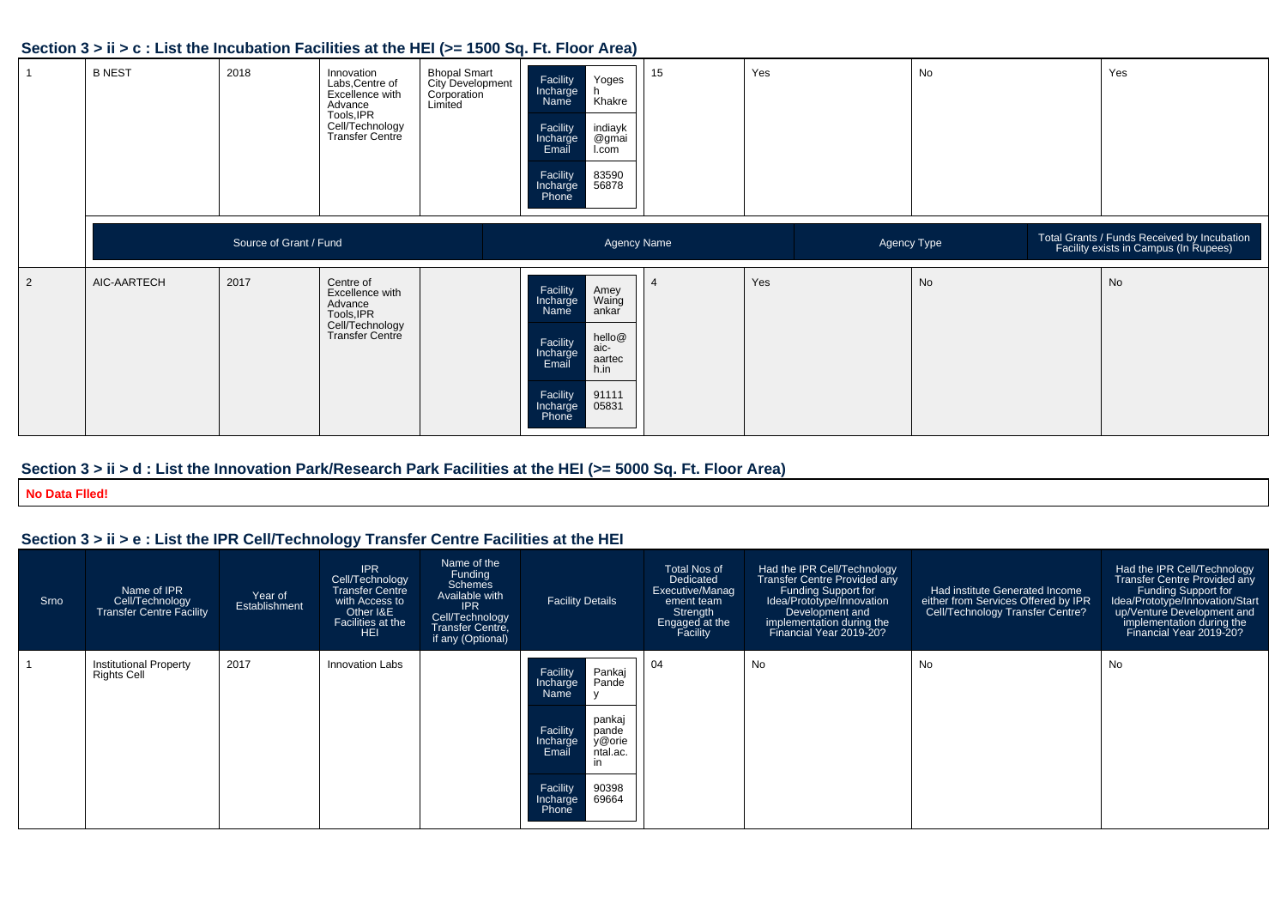# **Section 3 > ii > c : List the Incubation Facilities at the HEI (>= 1500 Sq. Ft. Floor Area)**

|   | <b>B NEST</b> | 2018                   | Innovation<br>Labs, Centre of<br>Excellence with<br>Advance<br>Tools, IPR<br>Cell/Technology<br>Transfer Centre | <b>Bhopal Smart</b><br><b>City Development</b><br>Corporation<br>Limited | Yoges<br>Facility<br>Incharge<br>Khakre<br>Name<br>Facility<br>indiayk<br>@gmai<br>I.com<br>Incharge<br>Email<br>Facility<br>Incharge<br>Phone<br>83590<br>56878               | 15 | Yes | No          | Yes                                                                                  |
|---|---------------|------------------------|-----------------------------------------------------------------------------------------------------------------|--------------------------------------------------------------------------|--------------------------------------------------------------------------------------------------------------------------------------------------------------------------------|----|-----|-------------|--------------------------------------------------------------------------------------|
|   |               | Source of Grant / Fund |                                                                                                                 |                                                                          | <b>Agency Name</b>                                                                                                                                                             |    |     | Agency Type | Total Grants / Funds Received by Incubation<br>Facility exists in Campus (In Rupees) |
| 2 | AIC-AARTECH   | 2017                   | Centre of<br>Excellence with<br>Advance<br>Tools, IPR<br>Cell/Technology<br>Transfer Centre                     |                                                                          | Facility<br>Incharge<br>Amey<br>Waing<br>ankar<br>Name<br>hello@<br>aic-<br>Facility<br>Incharge<br>Email<br>aartec<br>h.in<br>Facility<br>Incharge<br>Phone<br>91111<br>05831 |    | Yes | No          | No                                                                                   |

# **Section 3 > ii > d : List the Innovation Park/Research Park Facilities at the HEI (>= 5000 Sq. Ft. Floor Area)**

**No Data Flled!**

# **Section 3 > ii > e : List the IPR Cell/Technology Transfer Centre Facilities at the HEI**

| Srno | Name of IPR<br>Cell/Technology<br><b>Transfer Centre Facility</b> | Year of<br>Establishment | <b>IPR</b><br>Cell/Technology<br>Transfer Centre<br>with Access to<br>Other I&E<br>Facilities at the<br>HEI | Name of the<br>Funding<br><b>Schemes</b><br>Available with<br><b>IPR</b><br>Cell/Technology<br>Transfer Centre.<br>if any (Optional) | <b>Facility Details</b>                                                                                                                                                            | <b>Total Nos of</b><br>Dedicated<br>Executive/Manag<br>ement team<br>Strength<br>Engaged at the<br>Facility | Had the IPR Cell/Technology<br><b>Transfer Centre Provided any</b><br>Funding Support for<br>Idea/Prototype/Innovation<br>Development and<br>implementation during the<br>Financial Year 2019-20? | Had institute Generated Income<br>either from Services Offered by IPR<br>Cell/Technology Transfer Centre? | Had the IPR Cell/Technology<br>Transfer Centre Provided any<br>Funding Support for<br>Idea/Prototype/Innovation/Start<br>up/Venture Development and<br>implementation during the<br>Financial Year 2019-20? |
|------|-------------------------------------------------------------------|--------------------------|-------------------------------------------------------------------------------------------------------------|--------------------------------------------------------------------------------------------------------------------------------------|------------------------------------------------------------------------------------------------------------------------------------------------------------------------------------|-------------------------------------------------------------------------------------------------------------|---------------------------------------------------------------------------------------------------------------------------------------------------------------------------------------------------|-----------------------------------------------------------------------------------------------------------|-------------------------------------------------------------------------------------------------------------------------------------------------------------------------------------------------------------|
|      | <b>Institutional Property</b><br><b>Rights Cell</b>               | 2017                     | Innovation Labs                                                                                             |                                                                                                                                      | Pankaj<br>Facility<br>Pande<br>Incharge<br>Name<br>pankaj<br>Facility<br>pande<br>y@orie<br>Incharge<br>Email<br>ntal.ac.<br>in<br>90398<br>Facility<br>69664<br>Incharge<br>Phone | 04                                                                                                          | No                                                                                                                                                                                                | No                                                                                                        | <b>No</b>                                                                                                                                                                                                   |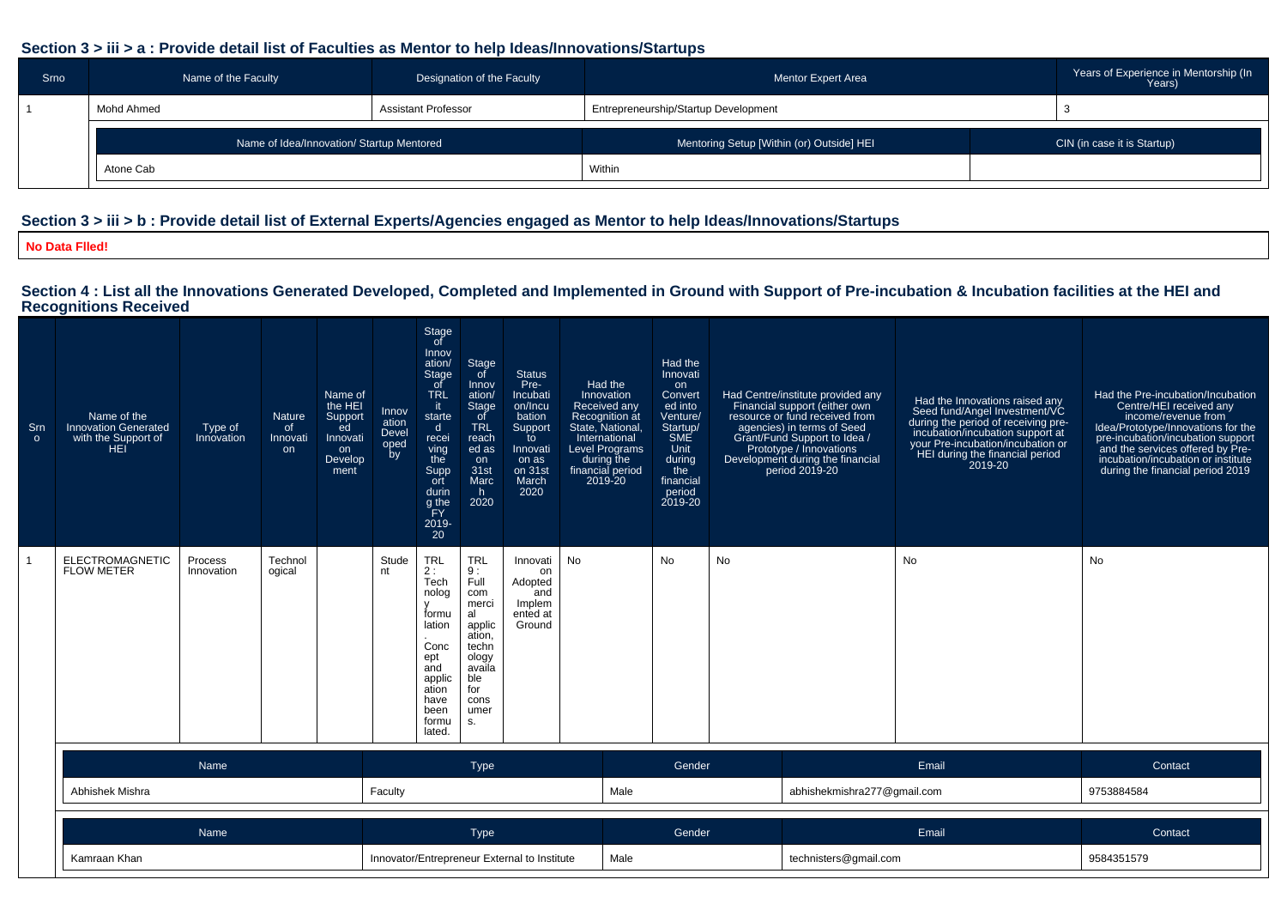# **Section 3 > iii > a : Provide detail list of Faculties as Mentor to help Ideas/Innovations/Startups**

| Srno | Name of the Faculty<br>Designation of the Faculty |                     | Mentor Expert Area                        | Years of Experience in Mentorship (In<br>Years) |
|------|---------------------------------------------------|---------------------|-------------------------------------------|-------------------------------------------------|
|      | Mohd Ahmed                                        | Assistant Professor | Entrepreneurship/Startup Development      |                                                 |
|      | Name of Idea/Innovation/ Startup Mentored         |                     | Mentoring Setup [Within (or) Outside] HEI | CIN (in case it is Startup)                     |
|      | Atone Cab                                         |                     | Within                                    |                                                 |

# **Section 3 > iii > b : Provide detail list of External Experts/Agencies engaged as Mentor to help Ideas/Innovations/Startups**

**No Data Flled!**

# **Section 4 : List all the Innovations Generated Developed, Completed and Implemented in Ground with Support of Pre-incubation & Incubation facilities at the HEI and Recognitions Received**

| Srn<br>$\circ$ | Name of the<br><b>Innovation Generated</b><br>with the Support of<br>HFI | Type of<br>Innovation | Nature<br>of<br>Innovati<br>on | Name of<br>the HEI<br>Support<br>ed<br>Innovati<br>on<br>Develop<br>ment | Innov<br>ation<br>Devel<br>oped<br>by | Stage<br>of<br>Innov<br>ation/<br>Stage<br>_of<br><b>TRL</b><br>-it<br>starte<br>d<br>recei<br>ving<br>the<br>Supp<br>ort<br>durin<br>g the<br>ĬΕY<br>2019-<br>20 | Stage<br>of<br>Innov<br>ation/<br>Stage<br>of<br><b>TRL</b><br>reach<br>ed as<br>on<br>31st<br>Marc<br>h.<br>2020                  | <b>Status</b><br>Pre-<br>Incubati<br>on/Incu<br>bation<br>Support<br>to<br>Innovati<br>on as<br>on 31st<br>March<br>2020 | Had the<br>Innovation<br>Received any<br>Recognition at<br>State, National,<br>International<br><b>Level Programs</b><br>during the<br>financial period<br>2019-20 | Had the<br>Innovati<br>on<br>Convert<br>ed into<br>Venture/<br>Startup/<br><b>SME</b><br>Unit<br>during<br>the<br>financial<br>period<br>2019-20 |                             | Had Centre/institute provided any<br>Financial support (either own<br>resource or fund received from<br>agencies) in terms of Seed<br>Grant/Fund Support to Idea /<br>Prototype / Innovations<br>Development during the financial<br>period 2019-20 | Had the Innovations raised any<br>Seed fund/Angel Investment/VC<br>during the period of receiving pre-<br>incubation/incubation support at<br>your Pre-incubation/incubation or<br>HEI during the financial period<br>2019-20 | Had the Pre-incubation/Incubation<br>Centre/HEI received any<br>income/revenue from<br>Idea/Prototype/Innovations for the<br>pre-incubation/incubation support<br>and the services offered by Pre-<br>incubation/incubation or institute<br>during the financial period 2019 |
|----------------|--------------------------------------------------------------------------|-----------------------|--------------------------------|--------------------------------------------------------------------------|---------------------------------------|-------------------------------------------------------------------------------------------------------------------------------------------------------------------|------------------------------------------------------------------------------------------------------------------------------------|--------------------------------------------------------------------------------------------------------------------------|--------------------------------------------------------------------------------------------------------------------------------------------------------------------|--------------------------------------------------------------------------------------------------------------------------------------------------|-----------------------------|-----------------------------------------------------------------------------------------------------------------------------------------------------------------------------------------------------------------------------------------------------|-------------------------------------------------------------------------------------------------------------------------------------------------------------------------------------------------------------------------------|------------------------------------------------------------------------------------------------------------------------------------------------------------------------------------------------------------------------------------------------------------------------------|
| -1             | ELECTROMAGNETIC<br><b>FLOW METER</b>                                     | Process<br>Innovation | Technol<br>ogical              |                                                                          | Stude<br>nt                           | <b>TRL</b><br>2:<br>Tech<br>nolog<br>formu<br>lation<br>Conc<br>ept<br>and<br>applic<br>ation<br>have<br>been<br>formu<br>lated.                                  | <b>TRL</b><br>9:<br>Full<br>com<br>merci<br>al<br>applic<br>ation,<br>techn<br>ology<br>availa<br>ble<br>for<br>cons<br>umer<br>S. | Innovati<br>on<br>Adopted<br>and<br>Implem<br>ented at<br>Ground                                                         | No                                                                                                                                                                 | No                                                                                                                                               | No                          |                                                                                                                                                                                                                                                     | <b>No</b>                                                                                                                                                                                                                     | No                                                                                                                                                                                                                                                                           |
|                |                                                                          | Name                  |                                |                                                                          |                                       |                                                                                                                                                                   | <b>Type</b>                                                                                                                        |                                                                                                                          |                                                                                                                                                                    | Gender                                                                                                                                           |                             |                                                                                                                                                                                                                                                     | Email                                                                                                                                                                                                                         | Contact                                                                                                                                                                                                                                                                      |
|                | Abhishek Mishra                                                          |                       |                                | Faculty                                                                  |                                       |                                                                                                                                                                   |                                                                                                                                    | Male                                                                                                                     |                                                                                                                                                                    |                                                                                                                                                  | abhishekmishra277@gmail.com |                                                                                                                                                                                                                                                     | 9753884584                                                                                                                                                                                                                    |                                                                                                                                                                                                                                                                              |
|                |                                                                          | Name                  |                                |                                                                          | Type                                  |                                                                                                                                                                   |                                                                                                                                    |                                                                                                                          | Gender                                                                                                                                                             |                                                                                                                                                  | Email                       |                                                                                                                                                                                                                                                     | Contact                                                                                                                                                                                                                       |                                                                                                                                                                                                                                                                              |
|                | Kamraan Khan                                                             |                       |                                |                                                                          |                                       |                                                                                                                                                                   |                                                                                                                                    | Innovator/Entrepreneur External to Institute                                                                             | Male                                                                                                                                                               |                                                                                                                                                  |                             | technisters@gmail.com                                                                                                                                                                                                                               |                                                                                                                                                                                                                               | 9584351579                                                                                                                                                                                                                                                                   |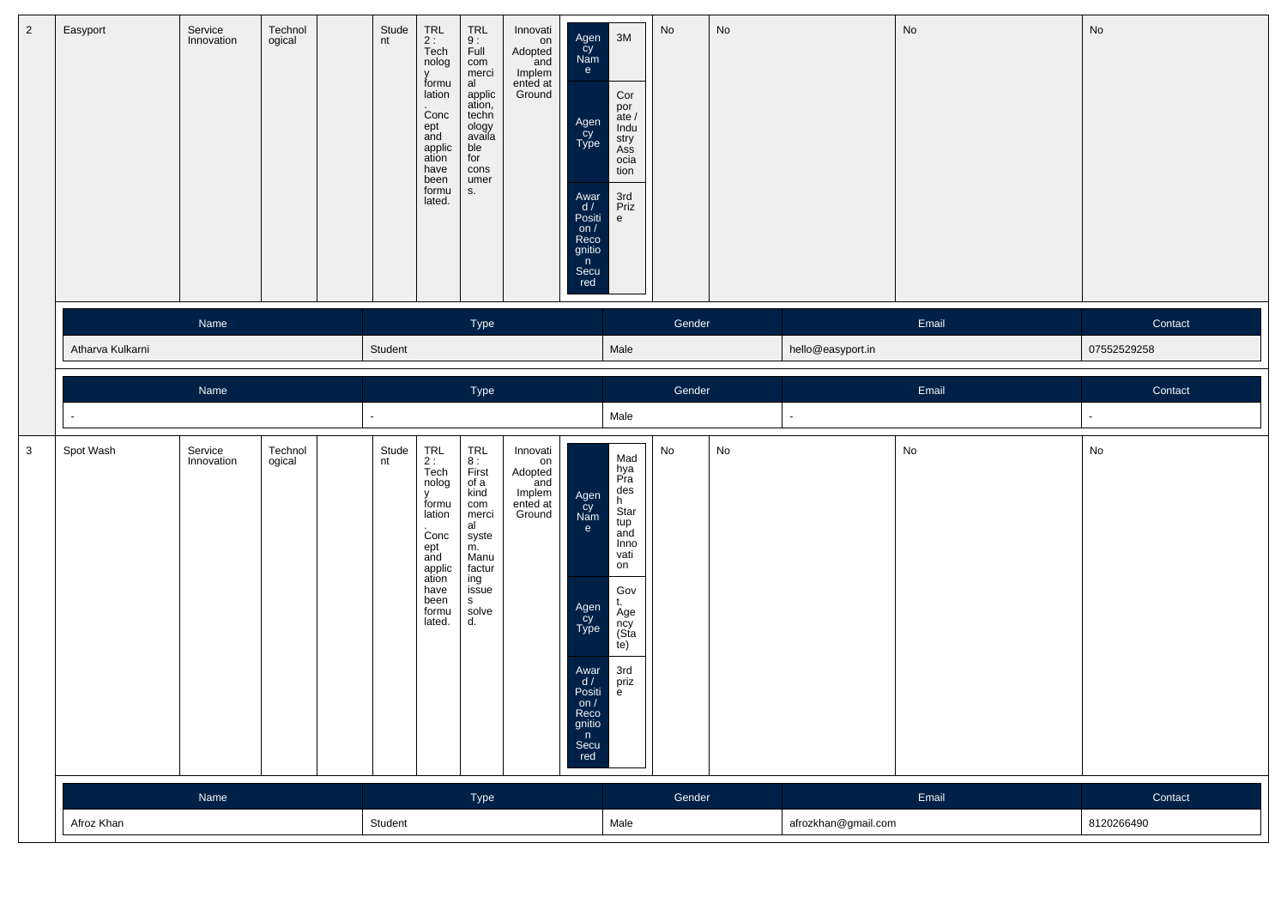| $\overline{2}$ | Easyport         | Service<br>Innovation | Technol<br>ogical | Stude<br>nt | TRL<br>2 :<br>Tech<br>nolog<br>$\mathsf{V}$<br>formu<br>lation<br>Conc<br>ept<br>and<br>applic<br>ation<br>have<br>been<br>formu<br>lated. | $7RL$<br>9:<br>Full<br>com<br>merci<br>al<br>applic<br>ation,<br>techn<br>ology<br>availa<br>ble<br>for<br>cons<br>umer<br>S.  | Innovati<br>on<br>Adopted<br>and<br>Implem<br>ented at<br>Ground | Agen<br>Cy<br>Nam<br>e.<br>Agen<br>Cy<br>Type<br>Awar<br>d/<br>Positi<br>on $/$<br>Reco<br>gnitio<br>n<br>Secu<br>red | 3M<br>Cor<br>por<br>$\frac{1}{2}$<br>Indu<br>stry<br>Ass<br>ocia<br>tion<br>3rd<br>Priz<br>e                                            | ${\sf No}$                   | No |                     | No    | No             |
|----------------|------------------|-----------------------|-------------------|-------------|--------------------------------------------------------------------------------------------------------------------------------------------|--------------------------------------------------------------------------------------------------------------------------------|------------------------------------------------------------------|-----------------------------------------------------------------------------------------------------------------------|-----------------------------------------------------------------------------------------------------------------------------------------|------------------------------|----|---------------------|-------|----------------|
|                |                  | Name                  |                   |             |                                                                                                                                            | Type                                                                                                                           |                                                                  |                                                                                                                       |                                                                                                                                         | Gender                       |    |                     | Email | Contact        |
|                | Atharva Kulkarni |                       |                   | Student     |                                                                                                                                            |                                                                                                                                |                                                                  |                                                                                                                       | Male                                                                                                                                    |                              |    | hello@easyport.in   |       | 07552529258    |
|                |                  | Name                  |                   |             |                                                                                                                                            | Type                                                                                                                           |                                                                  |                                                                                                                       |                                                                                                                                         | Gender                       |    |                     | Email | Contact        |
|                |                  |                       |                   |             |                                                                                                                                            |                                                                                                                                |                                                                  |                                                                                                                       | Male                                                                                                                                    |                              |    |                     |       | $\blacksquare$ |
| $\mathbf{3}$   | Spot Wash        | Service<br>Innovation | Technol<br>ogical | Stude<br>nt | TRL<br>$2:$<br>Tech<br>nolog<br>v<br>formu<br>lation<br>Concept<br>ept<br>and<br>applic<br>ation<br>have<br>been<br>formu<br>lated.        | TRL<br>8 :<br>First<br>of a<br>kind<br>com<br>merci<br>al<br>syste<br>m.<br>Manu<br>factur<br>ing<br>issue<br>S<br>solve<br>d. | Innovati<br>on<br>Adopted<br>and<br>Implem<br>ented at<br>Ground | Agen<br>Cy<br>Nam<br>e<br>Agen<br>Cy<br>Type<br>Awar<br>d /<br>Positi<br>OIL/<br>Reco<br>gnitio<br>n<br>Secu<br>red   | Mad<br>hya<br>Pra<br>des<br>h<br>Star<br>tup<br>and<br>Inno<br>vati<br>on<br>Gov<br>t.<br>Age<br>ncy<br>(Sta<br>(e)<br>3rd<br>priz<br>e | $\operatorname{\mathsf{No}}$ | No |                     | No    | No             |
|                |                  | Name                  |                   |             |                                                                                                                                            | Type                                                                                                                           |                                                                  |                                                                                                                       |                                                                                                                                         | Gender                       |    |                     | Email | Contact        |
|                | Afroz Khan       |                       |                   | Student     |                                                                                                                                            |                                                                                                                                |                                                                  |                                                                                                                       | Male                                                                                                                                    |                              |    | afrozkhan@gmail.com |       | 8120266490     |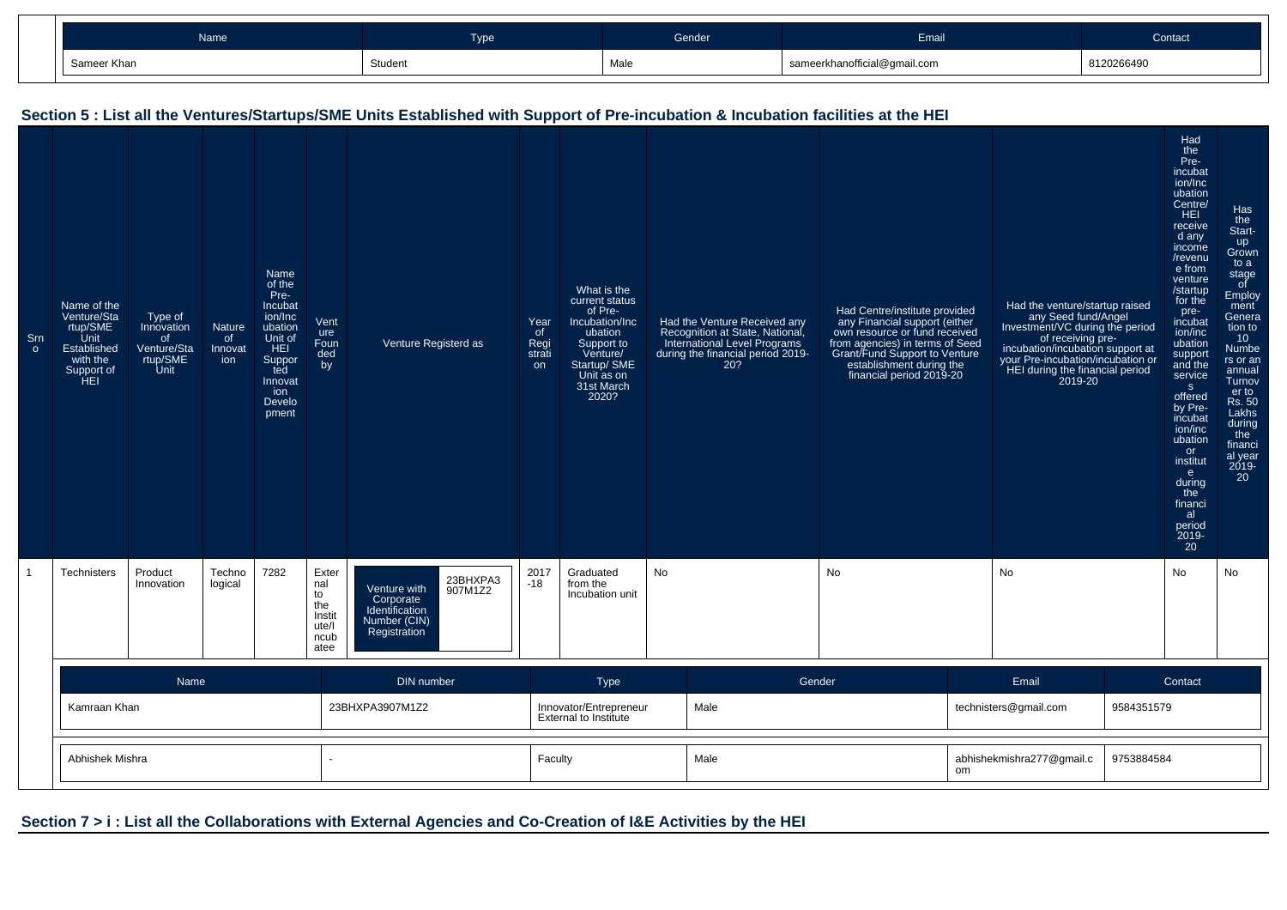| Name        | _<br>Гуре | Gender: | Email                        | Contact <sup>1</sup> |
|-------------|-----------|---------|------------------------------|----------------------|
| Sameer Khan | Student   | Male    | sameerkhanofficial@gmail.com | 812026649            |

#### Srn oName of the Venture/Sta rtup/SMEUnit Established with the Support of HEIType of Innovationof Venture/Sta rtup/SMEUnit**Nature** of InnovationName of the Pre-Incubat ion/Inc ubation Unit ofHEI Supported Innovation Develo pmentVent ure Foun ded byVenture Registerd asYearof Regi strationWhat is the current statusof Pre-Incubation/Incubation Support to Venture/ Startup/ SME Unit as on 31st March2020?Had the Venture Received any Recognition at State, National, International Level Programs during the financial period 2019-20?Had Centre/institute provided any Financial support (either own resource or fund received from agencies) in terms of Seed Grant/Fund Support to Ventureestablishment during the financial period 2019-20Had the venture/startup raisedany Seed fund/Angel Investment/VC during the periodof receiving preincubation/incubation support at your Pre-incubation/incubation or HEI during the financial period2019-20Had the Preincubat ion/Inc ubation Centre/**HEI**  receive d any income /revenu e from venture /startup for the preincubat ion/inc ubation support and the services offered by Preincubat ion/inc ubationor institute during the financial period 2019- 20Has the Startup Grown to a stage of Employ ment Genera tion to 10 Numbe rs or an annual Turnov er to Rs. 50 Lakhs during the financi al year 2019-20

#### **Section 5 : List all the Ventures/Startups/SME Units Established with Support of Pre-incubation & Incubation facilities at the HEI**

|                 |      | atee            |                                                        |        |                                   |            |
|-----------------|------|-----------------|--------------------------------------------------------|--------|-----------------------------------|------------|
|                 | Name | DIN number      | <b>Type</b>                                            | Gender | Email                             | Contact    |
| Kamraan Khan    |      | 23BHXPA3907M1Z2 | Innovator/Entrepreneur<br><b>External to Institute</b> | Male   | technisters@gmail.com             | 9584351579 |
| Abhishek Mishra |      |                 | Faculty                                                | Male   | abhishekmishra277@gmail.c  <br>om | 9753884584 |

No

No No No No

# **Section 7 > i : List all the Collaborations with External Agencies and Co-Creation of I&E Activities by the HEI**

Venture with Corporate Identification Number (CIN)Registration

23BHXPA3907M1Z2

2017-18

Graduatedfrom theIncubation unit

1

Technisters Product

Innovation

Technological

7282

 Exter nal to the Instit ute/Incub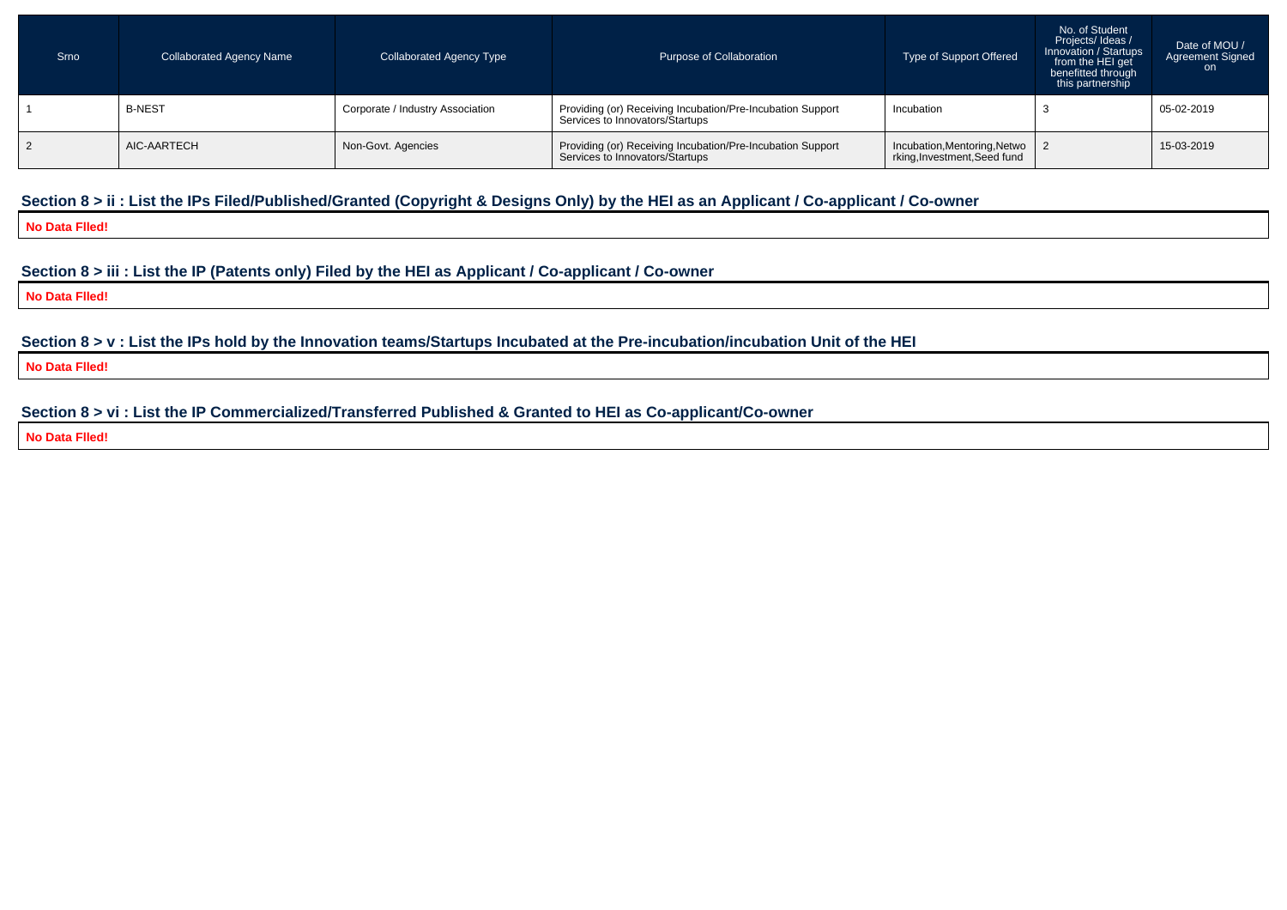| Srno | <b>Collaborated Agency Name</b> | <b>Collaborated Agency Type</b>  | Purpose of Collaboration                                                                      | Type of Support Offered                                        | No. of Student<br>Projects/Ideas/<br>Innovation / Startups<br>from the HEI get<br>benefitted through<br>this partnership | Date of MOU /<br>Agreement Signed<br>on. |
|------|---------------------------------|----------------------------------|-----------------------------------------------------------------------------------------------|----------------------------------------------------------------|--------------------------------------------------------------------------------------------------------------------------|------------------------------------------|
|      | <b>B-NEST</b>                   | Corporate / Industry Association | Providing (or) Receiving Incubation/Pre-Incubation Support<br>Services to Innovators/Startups | Incubation                                                     |                                                                                                                          | 05-02-2019                               |
|      | AIC-AARTECH                     | Non-Govt. Agencies               | Providing (or) Receiving Incubation/Pre-Incubation Support<br>Services to Innovators/Startups | Incubation, Mentoring, Netwo 2<br>rking, Investment, Seed fund |                                                                                                                          | 15-03-2019                               |

# **Section 8 > ii : List the IPs Filed/Published/Granted (Copyright & Designs Only) by the HEI as an Applicant / Co-applicant / Co-owner**

**No Data Flled!**

#### **Section 8 > iii : List the IP (Patents only) Filed by the HEI as Applicant / Co-applicant / Co-owner**

**No Data Flled!**

**Section 8 > v : List the IPs hold by the Innovation teams/Startups Incubated at the Pre-incubation/incubation Unit of the HEI**

**No Data Flled!**

# **Section 8 > vi : List the IP Commercialized/Transferred Published & Granted to HEI as Co-applicant/Co-owner**

**No Data Flled!**